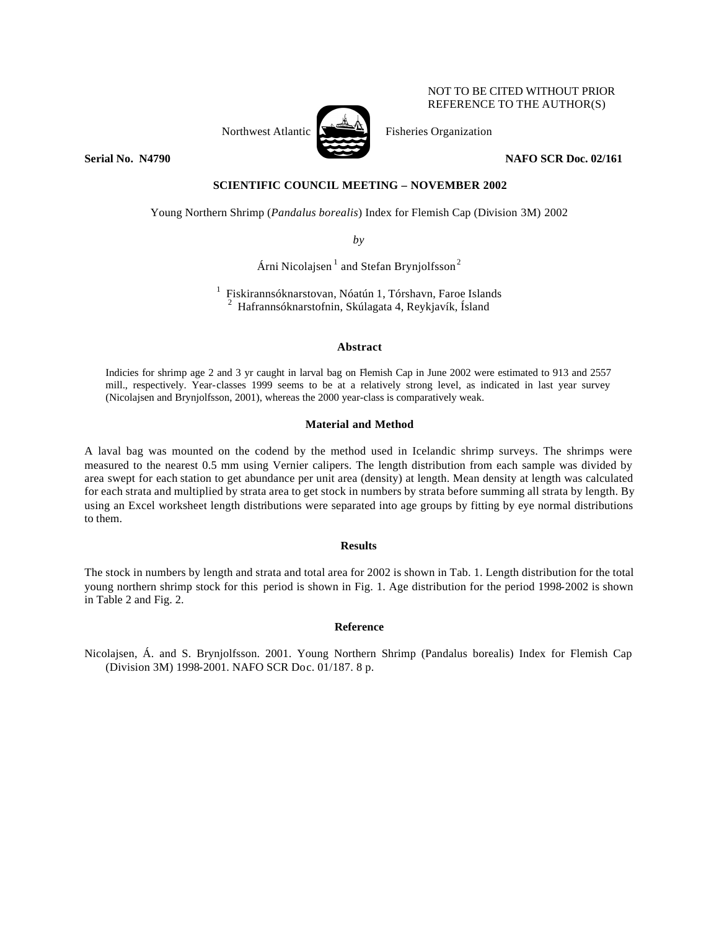

NOT TO BE CITED WITHOUT PRIOR REFERENCE TO THE AUTHOR(S)

**Serial No. 14790 NAFO SCR Doc. 02/161** 

## **SCIENTIFIC COUNCIL MEETING – NOVEMBER 2002**

Young Northern Shrimp (*Pandalus borealis*) Index for Flemish Cap (Division 3M) 2002

*by*

Árni Nicolajsen<sup>1</sup> and Stefan Brynjolfsson<sup>2</sup>

<sup>1</sup> Fiskirannsóknarstovan, Nóatún 1, Tórshavn, Faroe Islands  $2$  Hafrannsóknarstofnin, Skúlagata 4, Reykjavík, Ísland

### **Abstract**

Indicies for shrimp age 2 and 3 yr caught in larval bag on Flemish Cap in June 2002 were estimated to 913 and 2557 mill., respectively. Year-classes 1999 seems to be at a relatively strong level, as indicated in last year survey (Nicolajsen and Brynjolfsson, 2001), whereas the 2000 year-class is comparatively weak.

### **Material and Method**

A laval bag was mounted on the codend by the method used in Icelandic shrimp surveys. The shrimps were measured to the nearest 0.5 mm using Vernier calipers. The length distribution from each sample was divided by area swept for each station to get abundance per unit area (density) at length. Mean density at length was calculated for each strata and multiplied by strata area to get stock in numbers by strata before summing all strata by length. By using an Excel worksheet length distributions were separated into age groups by fitting by eye normal distributions to them.

#### **Results**

The stock in numbers by length and strata and total area for 2002 is shown in Tab. 1. Length distribution for the total young northern shrimp stock for this period is shown in Fig. 1. Age distribution for the period 1998-2002 is shown in Table 2 and Fig. 2.

# **Reference**

Nicolajsen, Á. and S. Brynjolfsson. 2001. Young Northern Shrimp (Pandalus borealis) Index for Flemish Cap (Division 3M) 1998-2001. NAFO SCR Doc. 01/187. 8 p.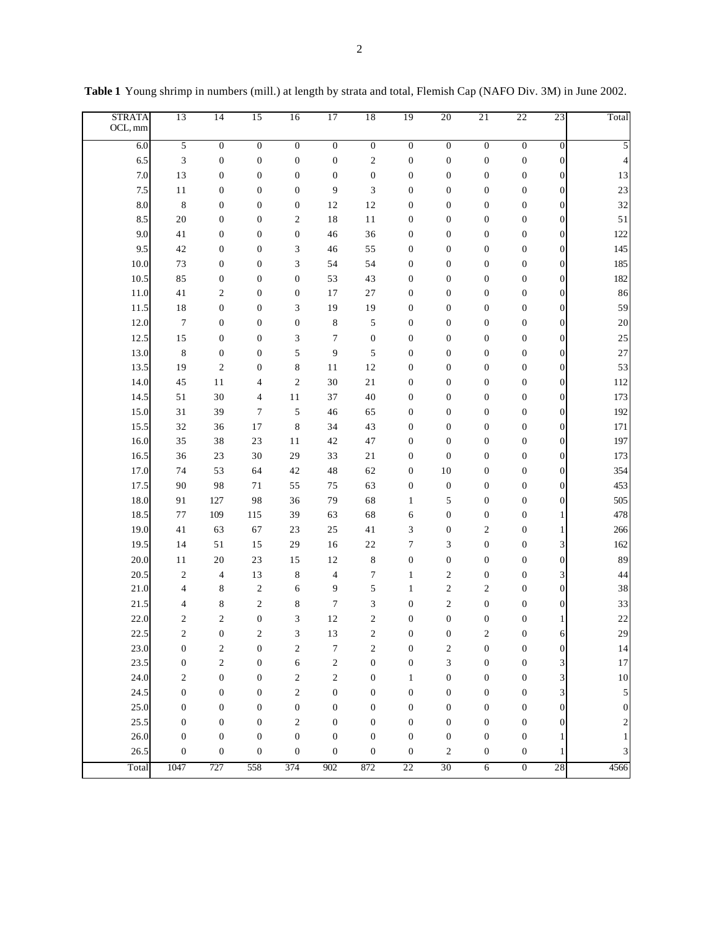| <b>STRATA</b><br>OCL, mm | 13                          | 14                      | 15               | 16               | 17               | 18                      | 19               | 20               | 21               | 22               | 23               | Total    |
|--------------------------|-----------------------------|-------------------------|------------------|------------------|------------------|-------------------------|------------------|------------------|------------------|------------------|------------------|----------|
| 6.0                      | 5                           | $\overline{0}$          | $\boldsymbol{0}$ | $\boldsymbol{0}$ | $\overline{0}$   | $\boldsymbol{0}$        | $\overline{0}$   | $\overline{0}$   | $\overline{0}$   | $\boldsymbol{0}$ | $\boldsymbol{0}$ | 5        |
| 6.5                      | $\ensuremath{\mathfrak{Z}}$ | $\boldsymbol{0}$        | $\boldsymbol{0}$ | $\boldsymbol{0}$ | $\boldsymbol{0}$ | $\mathbf{2}$            | $\boldsymbol{0}$ | $\boldsymbol{0}$ | $\boldsymbol{0}$ | $\boldsymbol{0}$ | $\boldsymbol{0}$ | 4        |
| 7.0                      | 13                          | $\boldsymbol{0}$        | $\boldsymbol{0}$ | $\boldsymbol{0}$ | $\boldsymbol{0}$ | $\boldsymbol{0}$        | $\boldsymbol{0}$ | $\boldsymbol{0}$ | $\boldsymbol{0}$ | $\boldsymbol{0}$ | $\boldsymbol{0}$ | 13       |
| 7.5                      | 11                          | $\boldsymbol{0}$        | $\boldsymbol{0}$ | $\boldsymbol{0}$ | 9                | 3                       | $\boldsymbol{0}$ | $\boldsymbol{0}$ | $\boldsymbol{0}$ | $\boldsymbol{0}$ | $\boldsymbol{0}$ | 23       |
| 8.0                      | $\,8\,$                     | $\boldsymbol{0}$        | $\boldsymbol{0}$ | $\boldsymbol{0}$ | 12               | 12                      | $\boldsymbol{0}$ | $\boldsymbol{0}$ | $\boldsymbol{0}$ | $\boldsymbol{0}$ | $\boldsymbol{0}$ | 32       |
| 8.5                      | $20\,$                      | $\boldsymbol{0}$        | $\boldsymbol{0}$ | $\mathfrak{2}$   | 18               | 11                      | $\boldsymbol{0}$ | $\boldsymbol{0}$ | $\boldsymbol{0}$ | $\boldsymbol{0}$ | $\boldsymbol{0}$ | 51       |
| 9.0                      | 41                          | $\boldsymbol{0}$        | $\boldsymbol{0}$ | $\boldsymbol{0}$ | 46               | 36                      | $\boldsymbol{0}$ | $\boldsymbol{0}$ | $\boldsymbol{0}$ | $\boldsymbol{0}$ | $\boldsymbol{0}$ | 122      |
| 9.5                      | 42                          | $\boldsymbol{0}$        | $\boldsymbol{0}$ | 3                | 46               | 55                      | $\boldsymbol{0}$ | $\boldsymbol{0}$ | $\boldsymbol{0}$ | $\boldsymbol{0}$ | $\boldsymbol{0}$ | 145      |
| 10.0                     | 73                          | $\boldsymbol{0}$        | $\boldsymbol{0}$ | 3                | 54               | 54                      | $\boldsymbol{0}$ | $\boldsymbol{0}$ | $\boldsymbol{0}$ | $\boldsymbol{0}$ | $\boldsymbol{0}$ | 185      |
| 10.5                     | 85                          | $\boldsymbol{0}$        | $\boldsymbol{0}$ | $\boldsymbol{0}$ | 53               | 43                      | $\boldsymbol{0}$ | $\boldsymbol{0}$ | $\boldsymbol{0}$ | $\boldsymbol{0}$ | $\boldsymbol{0}$ | 182      |
| 11.0                     | 41                          | $\mathbf{2}$            | $\boldsymbol{0}$ | $\boldsymbol{0}$ | 17               | $27\,$                  | $\boldsymbol{0}$ | $\boldsymbol{0}$ | $\boldsymbol{0}$ | $\boldsymbol{0}$ | $\boldsymbol{0}$ | 86       |
| 11.5                     | $1\,8$                      | $\boldsymbol{0}$        | $\boldsymbol{0}$ | 3                | 19               | 19                      | $\boldsymbol{0}$ | $\boldsymbol{0}$ | $\boldsymbol{0}$ | $\boldsymbol{0}$ | $\boldsymbol{0}$ | 59       |
| 12.0                     | $\boldsymbol{7}$            | $\boldsymbol{0}$        | $\boldsymbol{0}$ | $\boldsymbol{0}$ | $\,8$            | 5                       | $\boldsymbol{0}$ | $\boldsymbol{0}$ | $\boldsymbol{0}$ | $\boldsymbol{0}$ | $\mathbf{0}$     | 20       |
| 12.5                     | 15                          | $\boldsymbol{0}$        | $\boldsymbol{0}$ | 3                | $\boldsymbol{7}$ | $\boldsymbol{0}$        | $\boldsymbol{0}$ | $\boldsymbol{0}$ | $\boldsymbol{0}$ | $\boldsymbol{0}$ | $\boldsymbol{0}$ | 25       |
| 13.0                     | $\,8\,$                     | $\boldsymbol{0}$        | $\boldsymbol{0}$ | 5                | 9                | 5                       | $\boldsymbol{0}$ | $\boldsymbol{0}$ | $\boldsymbol{0}$ | $\boldsymbol{0}$ | $\boldsymbol{0}$ | 27       |
| 13.5                     | 19                          | $\mathbf{2}$            | $\boldsymbol{0}$ | 8                | 11               | 12                      | $\boldsymbol{0}$ | $\boldsymbol{0}$ | $\boldsymbol{0}$ | $\boldsymbol{0}$ | $\boldsymbol{0}$ | 53       |
| 14.0                     | 45                          | 11                      | 4                | $\overline{2}$   | $30\,$           | $21\,$                  | $\boldsymbol{0}$ | $\boldsymbol{0}$ | $\boldsymbol{0}$ | $\boldsymbol{0}$ | $\boldsymbol{0}$ | 112      |
| 14.5                     | 51                          | $30\,$                  | 4                | 11               | 37               | 40                      | $\boldsymbol{0}$ | $\boldsymbol{0}$ | $\boldsymbol{0}$ | $\boldsymbol{0}$ | $\mathbf{0}$     | 173      |
| 15.0                     | 31                          | 39                      | 7                | 5                | 46               | 65                      | $\boldsymbol{0}$ | $\boldsymbol{0}$ | $\boldsymbol{0}$ | $\boldsymbol{0}$ | $\boldsymbol{0}$ | 192      |
| 15.5                     | 32                          | 36                      | 17               | 8                | 34               | 43                      | $\boldsymbol{0}$ | $\boldsymbol{0}$ | $\boldsymbol{0}$ | $\boldsymbol{0}$ | $\boldsymbol{0}$ | 171      |
| 16.0                     | 35                          | 38                      | 23               | 11               | 42               | 47                      | $\boldsymbol{0}$ | $\boldsymbol{0}$ | $\boldsymbol{0}$ | $\boldsymbol{0}$ | $\boldsymbol{0}$ | 197      |
| 16.5                     | 36                          | 23                      | 30               | 29               | 33               | 21                      | $\boldsymbol{0}$ | $\mathbf{0}$     | $\boldsymbol{0}$ | $\boldsymbol{0}$ | $\boldsymbol{0}$ | 173      |
| 17.0                     | 74                          | 53                      | 64               | 42               | 48               | 62                      | $\boldsymbol{0}$ | 10               | $\boldsymbol{0}$ | $\boldsymbol{0}$ | $\boldsymbol{0}$ | 354      |
| 17.5                     | 90                          | 98                      | 71               | 55               | 75               | 63                      | $\boldsymbol{0}$ | $\boldsymbol{0}$ | $\boldsymbol{0}$ | $\boldsymbol{0}$ | $\boldsymbol{0}$ | 453      |
| 18.0                     | 91                          | 127                     | 98               | 36               | 79               | 68                      | $\mathbf{1}$     | 5                | $\boldsymbol{0}$ | $\boldsymbol{0}$ | $\boldsymbol{0}$ | 505      |
| 18.5                     | $77 \,$                     | 109                     | 115              | 39               | 63               | 68                      | 6                | $\boldsymbol{0}$ | $\boldsymbol{0}$ | $\boldsymbol{0}$ | $\mathbf{1}$     | 478      |
| 19.0                     | 41                          | 63                      | 67               | 23               | 25               | 41                      | 3                | $\boldsymbol{0}$ | $\mathfrak{2}$   | $\boldsymbol{0}$ | $\mathbf{1}$     | 266      |
| 19.5                     | 14                          | 51                      | 15               | 29               | $16$             | $22\,$                  | $\tau$           | 3                | $\boldsymbol{0}$ | $\boldsymbol{0}$ | 3                | 162      |
| 20.0                     | 11                          | 20                      | 23               | 15               | $12\,$           | $\,$ 8 $\,$             | $\boldsymbol{0}$ | $\boldsymbol{0}$ | $\boldsymbol{0}$ | $\boldsymbol{0}$ | $\boldsymbol{0}$ | 89       |
| 20.5                     | $\mathbf{2}$                | $\overline{4}$          | 13               | 8                | $\overline{4}$   | $\tau$                  | $\mathbf{1}$     | $\mathfrak{2}$   | $\boldsymbol{0}$ | $\boldsymbol{0}$ | 3                | 44       |
| 21.0                     | 4                           | 8                       | $\boldsymbol{2}$ | 6                | 9                | 5                       | $\mathbf{1}$     | $\mathfrak{2}$   | $\sqrt{2}$       | $\boldsymbol{0}$ | $\boldsymbol{0}$ | 38       |
| 21.5                     | $\overline{4}$              | 8                       | $\mathbf{2}$     | 8                | $\boldsymbol{7}$ | 3                       | $\boldsymbol{0}$ | $\mathfrak{2}$   | $\boldsymbol{0}$ | $\boldsymbol{0}$ | $\boldsymbol{0}$ | 33       |
| 22.0                     | $\mathfrak{2}$              | $\overline{c}$          | $\boldsymbol{0}$ | 3                | $12\,$           | $\mathbf{2}$            | $\boldsymbol{0}$ | $\boldsymbol{0}$ | $\boldsymbol{0}$ | $\boldsymbol{0}$ | 1                | 22       |
| 22.5                     | $\mathfrak{2}$              | $\boldsymbol{0}$        | $\overline{c}$   | 3                | $13\,$           | $\overline{\mathbf{c}}$ | $\Omega$         | $\boldsymbol{0}$ | $\overline{2}$   | $\Omega$         | 6                | 29       |
| 23.0                     | $\boldsymbol{0}$            | $\overline{\mathbf{c}}$ | 0                | $\overline{c}$   | $\tau$           | 2                       | $\boldsymbol{0}$ | 2                | $\boldsymbol{0}$ | $\boldsymbol{0}$ | $\boldsymbol{0}$ | 14       |
| 23.5                     | $\boldsymbol{0}$            | $\boldsymbol{2}$        | 0                | 6                | $\boldsymbol{2}$ | $\boldsymbol{0}$        | $\boldsymbol{0}$ | 3                | $\boldsymbol{0}$ | $\boldsymbol{0}$ | 3                | $17\,$   |
| 24.0                     | 2                           | $\boldsymbol{0}$        | 0                | 2                | $\boldsymbol{2}$ | $\boldsymbol{0}$        | 1                | $\boldsymbol{0}$ | $\boldsymbol{0}$ | $\boldsymbol{0}$ | 3                | $10\,$   |
| 24.5                     | $\boldsymbol{0}$            | $\boldsymbol{0}$        | 0                | $\mathfrak{2}$   | $\boldsymbol{0}$ | $\boldsymbol{0}$        | $\boldsymbol{0}$ | $\boldsymbol{0}$ | $\boldsymbol{0}$ | $\boldsymbol{0}$ | 3                | 5        |
| 25.0                     | $\boldsymbol{0}$            | $\boldsymbol{0}$        | 0                | $\boldsymbol{0}$ | 0                | $\boldsymbol{0}$        | $\boldsymbol{0}$ | $\boldsymbol{0}$ | $\boldsymbol{0}$ | $\boldsymbol{0}$ | 0                | $\bf{0}$ |
| 25.5                     | $\mathbf{0}$                | $\boldsymbol{0}$        | $\boldsymbol{0}$ | 2                | 0                | $\boldsymbol{0}$        | $\bf{0}$         | $\boldsymbol{0}$ | $\boldsymbol{0}$ | 0                | $\boldsymbol{0}$ | 2        |
| 26.0                     | $\mathbf{0}$                | $\boldsymbol{0}$        | $\boldsymbol{0}$ | $\boldsymbol{0}$ | $\boldsymbol{0}$ | $\boldsymbol{0}$        | $\boldsymbol{0}$ | $\boldsymbol{0}$ | $\boldsymbol{0}$ | $\boldsymbol{0}$ | 1                |          |
| 26.5                     | $\boldsymbol{0}$            | $\boldsymbol{0}$        | 0                | $\boldsymbol{0}$ | $\boldsymbol{0}$ | $\boldsymbol{0}$        | $\boldsymbol{0}$ | 2                | $\boldsymbol{0}$ | $\boldsymbol{0}$ | 1                | 3        |
| Total                    | 1047                        | 727                     | 558              | 374              | 902              | 872                     | 22               | 30               | $\overline{6}$   | $\overline{0}$   | 28               | 4566     |

**Table 1** Young shrimp in numbers (mill.) at length by strata and total, Flemish Cap (NAFO Div. 3M) in June 2002.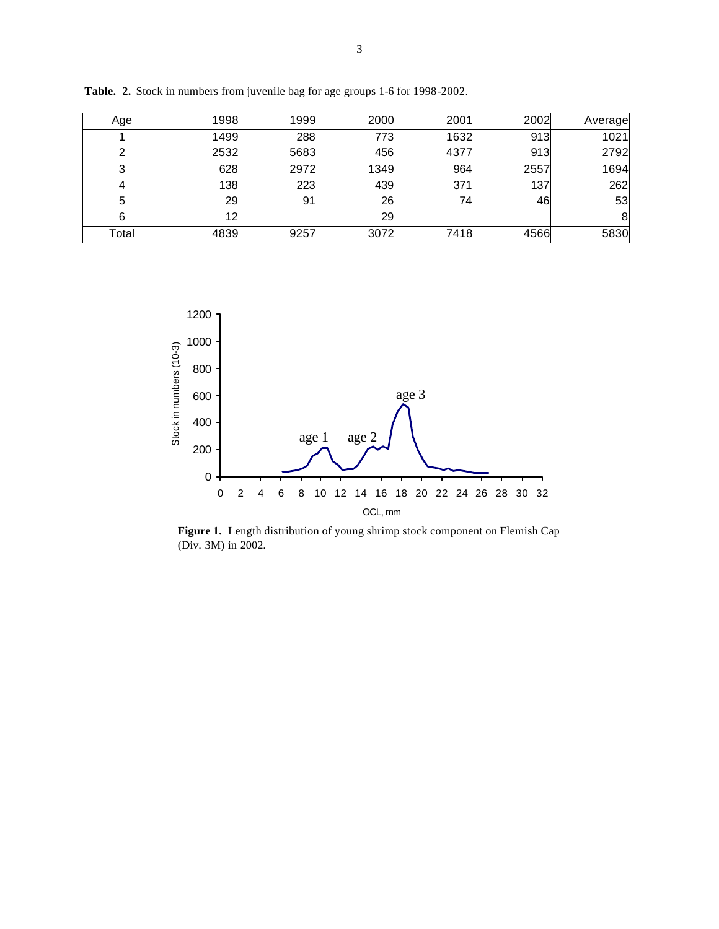| Age   | 1998 | 1999 | 2000 | 2001 | 2002 | Average |
|-------|------|------|------|------|------|---------|
|       | 1499 | 288  | 773  | 1632 | 913  | 1021    |
| 2     | 2532 | 5683 | 456  | 4377 | 913  | 2792    |
| 3     | 628  | 2972 | 1349 | 964  | 2557 | 1694    |
| 4     | 138  | 223  | 439  | 371  | 137  | 262     |
| 5     | 29   | 91   | 26   | 74   | 46   | 53      |
| 6     | 12   |      | 29   |      |      | 8       |
| Total | 4839 | 9257 | 3072 | 7418 | 4566 | 5830    |

**Table. 2.** Stock in numbers from juvenile bag for age groups 1-6 for 1998-2002.



**Figure 1.** Length distribution of young shrimp stock component on Flemish Cap (Div. 3M) in 2002.